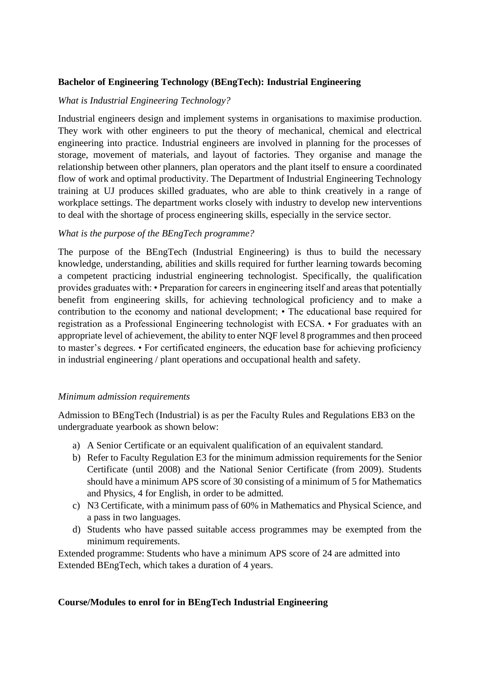# **Bachelor of Engineering Technology (BEngTech): Industrial Engineering**

## *What is Industrial Engineering Technology?*

Industrial engineers design and implement systems in organisations to maximise production. They work with other engineers to put the theory of mechanical, chemical and electrical engineering into practice. Industrial engineers are involved in planning for the processes of storage, movement of materials, and layout of factories. They organise and manage the relationship between other planners, plan operators and the plant itself to ensure a coordinated flow of work and optimal productivity. The Department of Industrial Engineering Technology training at UJ produces skilled graduates, who are able to think creatively in a range of workplace settings. The department works closely with industry to develop new interventions to deal with the shortage of process engineering skills, especially in the service sector.

## *What is the purpose of the BEngTech programme?*

The purpose of the BEngTech (Industrial Engineering) is thus to build the necessary knowledge, understanding, abilities and skills required for further learning towards becoming a competent practicing industrial engineering technologist. Specifically, the qualification provides graduates with: • Preparation for careers in engineering itself and areas that potentially benefit from engineering skills, for achieving technological proficiency and to make a contribution to the economy and national development; • The educational base required for registration as a Professional Engineering technologist with ECSA. • For graduates with an appropriate level of achievement, the ability to enter NQF level 8 programmes and then proceed to master's degrees. • For certificated engineers, the education base for achieving proficiency in industrial engineering / plant operations and occupational health and safety.

### *Minimum admission requirements*

Admission to BEngTech (Industrial) is as per the Faculty Rules and Regulations EB3 on the undergraduate yearbook as shown below:

- a) A Senior Certificate or an equivalent qualification of an equivalent standard.
- b) Refer to Faculty Regulation E3 for the minimum admission requirements for the Senior Certificate (until 2008) and the National Senior Certificate (from 2009). Students should have a minimum APS score of 30 consisting of a minimum of 5 for Mathematics and Physics, 4 for English, in order to be admitted.
- c) N3 Certificate, with a minimum pass of 60% in Mathematics and Physical Science, and a pass in two languages.
- d) Students who have passed suitable access programmes may be exempted from the minimum requirements.

Extended programme: Students who have a minimum APS score of 24 are admitted into Extended BEngTech, which takes a duration of 4 years.

### **Course/Modules to enrol for in BEngTech Industrial Engineering**